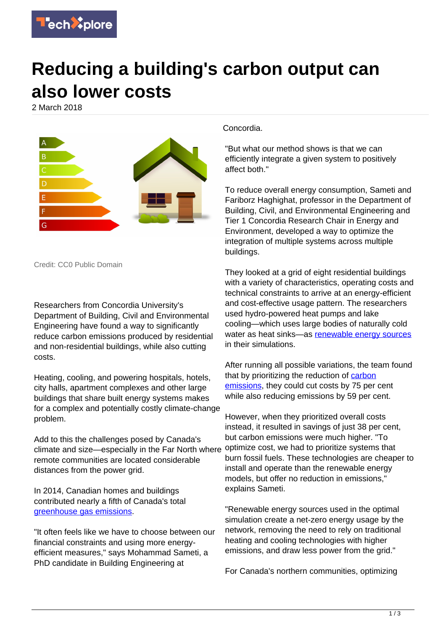

## **Reducing a building's carbon output can also lower costs**

2 March 2018



Credit: CC0 Public Domain

Researchers from Concordia University's Department of Building, Civil and Environmental Engineering have found a way to significantly reduce carbon emissions produced by residential and non-residential buildings, while also cutting costs.

Heating, cooling, and powering hospitals, hotels, city halls, apartment complexes and other large buildings that share built energy systems makes for a complex and potentially costly climate-change problem.

Add to this the challenges posed by Canada's climate and size—especially in the Far North where remote communities are located considerable distances from the power grid.

In 2014, Canadian homes and buildings contributed nearly a fifth of Canada's total [greenhouse gas emissions](https://techxplore.com/tags/greenhouse+gas+emissions/).

"It often feels like we have to choose between our financial constraints and using more energyefficient measures," says Mohammad Sameti, a PhD candidate in Building Engineering at

Concordia.

"But what our method shows is that we can efficiently integrate a given system to positively affect both."

To reduce overall energy consumption, Sameti and Fariborz Haghighat, professor in the Department of Building, Civil, and Environmental Engineering and Tier 1 Concordia Research Chair in Energy and Environment, developed a way to optimize the integration of multiple systems across multiple buildings.

They looked at a grid of eight residential buildings with a variety of characteristics, operating costs and technical constraints to arrive at an energy-efficient and cost-effective usage pattern. The researchers used hydro-powered heat pumps and lake cooling—which uses large bodies of naturally cold water as heat sinks—as [renewable energy sources](https://techxplore.com/tags/renewable+energy+sources/) in their simulations.

After running all possible variations, the team found that by prioritizing the reduction of [carbon](https://techxplore.com/tags/carbon+emissions/) [emissions](https://techxplore.com/tags/carbon+emissions/), they could cut costs by 75 per cent while also reducing emissions by 59 per cent.

However, when they prioritized overall costs instead, it resulted in savings of just 38 per cent, but carbon emissions were much higher. "To optimize cost, we had to prioritize systems that burn fossil fuels. These technologies are cheaper to install and operate than the renewable energy models, but offer no reduction in emissions," explains Sameti.

"Renewable energy sources used in the optimal simulation create a net-zero energy usage by the network, removing the need to rely on traditional heating and cooling technologies with higher emissions, and draw less power from the grid."

For Canada's northern communities, optimizing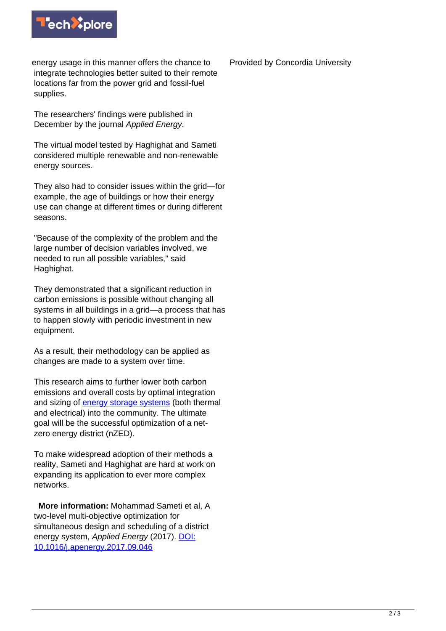

energy usage in this manner offers the chance to integrate technologies better suited to their remote locations far from the power grid and fossil-fuel supplies.

The researchers' findings were published in December by the journal Applied Energy.

The virtual model tested by Haghighat and Sameti considered multiple renewable and non-renewable energy sources.

They also had to consider issues within the grid—for example, the age of buildings or how their energy use can change at different times or during different seasons.

"Because of the complexity of the problem and the large number of decision variables involved, we needed to run all possible variables," said Haghighat.

They demonstrated that a significant reduction in carbon emissions is possible without changing all systems in all buildings in a grid—a process that has to happen slowly with periodic investment in new equipment.

As a result, their methodology can be applied as changes are made to a system over time.

This research aims to further lower both carbon emissions and overall costs by optimal integration and sizing of [energy storage systems](https://techxplore.com/tags/energy+storage+systems/) (both thermal and electrical) into the community. The ultimate goal will be the successful optimization of a netzero energy district (nZED).

To make widespread adoption of their methods a reality, Sameti and Haghighat are hard at work on expanding its application to ever more complex networks.

 **More information:** Mohammad Sameti et al, A two-level multi-objective optimization for simultaneous design and scheduling of a district energy system, Applied Energy (2017). [DOI:](http://dx.doi.org/10.1016/j.apenergy.2017.09.046) [10.1016/j.apenergy.2017.09.046](http://dx.doi.org/10.1016/j.apenergy.2017.09.046)

Provided by Concordia University